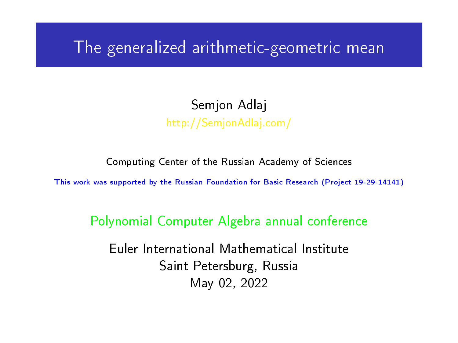# <span id="page-0-0"></span>The generalized arithmetic-geometric mean

### Semjon Adlaj [http://SemjonAdlaj.com/](http://semjonadlaj.com/)

Computing Center of the Russian Academy of Sciences

This work was supported by the Russian Foundation for Basic Research (Project 19-29-14141)

Polynomial Computer Algebra annual conference

Euler International Mathematical Institute Saint Petersburg, Russia May 02, 2022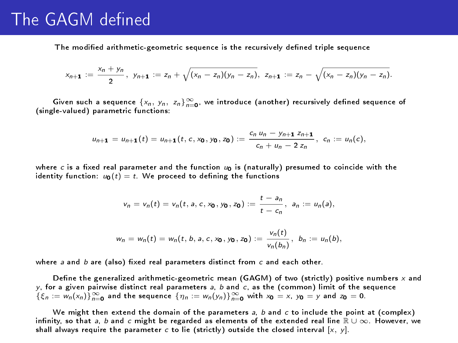### The GAGM defined

The modified arithmetic-geometric sequence is the recursively defined triple sequence

$$
x_{n+1} := \frac{x_n + y_n}{2}, \ y_{n+1} := z_n + \sqrt{(x_n - z_n)(y_n - z_n)}, \ z_{n+1} := z_n - \sqrt{(x_n - z_n)(y_n - z_n)}.
$$

Given such a sequence  $\{x_n, y_n, z_n\}_{n=0}^{\infty}$ , we introduce (another) recursively defined sequence of (single-valued) parametric functions:

$$
u_{n+1} = u_{n+1}(t) = u_{n+1}(t, c, x_0, y_0, z_0) := \frac{c_n u_n - y_{n+1} z_{n+1}}{c_n + u_n - 2 z_n}, c_n := u_n(c),
$$

where c is a fixed real parameter and the function  $u_0$  is (naturally) presumed to coincide with the identity function:  $u_0(t) = t$ . We proceed to defining the functions

$$
v_n = v_n(t) = v_n(t, a, c, x_0, y_0, z_0) := \frac{t - a_n}{t - c_n}, a_n := u_n(a),
$$

$$
w_n = w_n(t) = w_n(t, b, a, c, x_0, y_0, z_0) := \frac{v_n(t)}{v_n(b_n)}, b_n := u_n(b),
$$

where a and  $b$  are (also) fixed real parameters distinct from  $c$  and each other.

Define the generalized arithmetic-geometric mean (GAGM) of two (strictly) positive numbers  $x$  and  $y$ , for a given pairwise distinct real parameters a, b and c, as the (common) limit of the sequence  $\{\xi_n := w_n(x_n)\}_{n=0}^{\infty}$  and the sequence  $\{\eta_n := w_n(y_n)\}_{n=0}^{\infty}$  with  $x_0 = x$ ,  $y_0 = y$  and  $z_0 = 0$ .

We might then extend the domain of the parameters  $a, b$  and  $c$  to include the point at (complex) infinity, so that a, b and c might be regarded as elements of the extended real line  $\mathbb{R} \cup \infty$ . However, we shall always require the parameter c to lie (strictly) outside the closed interval  $[x, y]$ .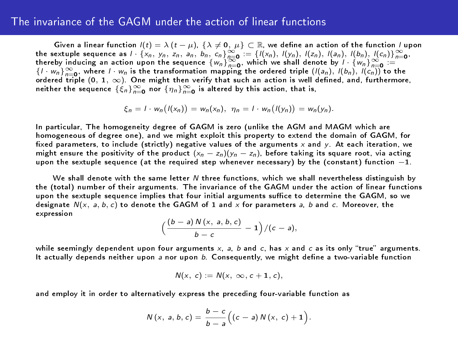#### The invariance of the GAGM under the action of linear functions

Given a linear function  $I(t) = \lambda (t - \mu)$ ,  $\{\lambda \neq 0, \mu\} \subset \mathbb{R}$ , we define an action of the function *l* upon the sextuple sequence as  $l \cdot \{x_n, y_n, z_n, a_n, b_n, c_n\}_{n=0}^{\infty} := \{l(x_n), l(y_n), l(z_n), l(z_n), l(b_n), l(c_n)\}_{n=0}^{\infty}$ .<br>thereby inducing an action upon the sequence  $\{w_n\}_{n=0}^{\infty}$ , which we shall denote by  $l \cdot \{w_n\}_{n=0}^{\infty} :=$  $\{l \cdot w_n\}_{n=0}^{\infty}$ , where  $l \cdot w_n$  is the transformation mapping the ordered triple  $(l(a_n), l(b_n), l(c_n))$  to the ordered triple  $(0, 1, \infty)$ . One might then verify that such an action is well defined, and, furthermore, neither the sequence  $\{\dot{\xi}_n\}_{n=0}^\infty$  nor  $\{\eta_n\}_{n=0}^\infty$  is altered by this action, that is,

$$
\xi_n = l \cdot w_n(l(x_n)) = w_n(x_n), \ \eta_n = l \cdot w_n(l(y_n)) = w_n(y_n).
$$

In particular, The homogeneity degree of GAGM is zero (unlike the AGM and MAGM which are homogeneous of degree one), and we might exploit this property to extend the domain of GAGM, for fixed parameters, to include (strictly) negative values of the arguments x and y. At each iteration, we might ensure the positivity of the product  $(x_n - z_n)(y_n - z_n)$ , before taking its square root, via acting upon the sextuple sequence (at the required step whenever necessary) by the (constant) function  $-1$ .

We shall denote with the same letter N three functions, which we shall nevertheless distinguish by the (total) number of their arguments. The invariance of the GAGM under the action of linear functions upon the sextuple sequence implies that four initial arguments suffice to determine the GAGM, so we designate  $N(x, a, b, c)$  to denote the GAGM of 1 and x for parameters a, b and c. Moreover, the expression

$$
\Big(\frac{(b-a) N(x, a, b, c)}{b-c}-1\Big)/(c-a),
$$

while seemingly dependent upon four arguments  $x$ , a, b and c, has x and c as its only "true" arguments. It actually depends neither upon a nor upon b. Consequently, we might define a two-variable function

$$
N(x, c) := N(x, \infty, c+1, c),
$$

and employ it in order to alternatively express the preceding four-variable function as

$$
N(x, a, b, c) = \frac{b-c}{b-a}\Big((c-a)N(x, c)+1\Big).
$$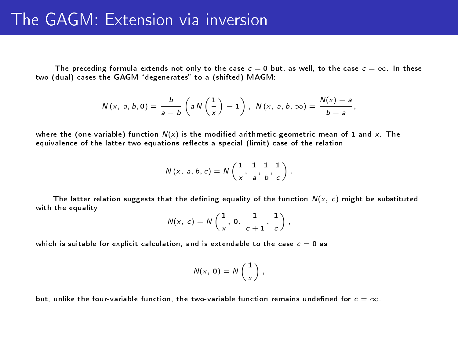The preceding formula extends not only to the case  $c = 0$  but, as well, to the case  $c = \infty$ . In these two (dual) cases the GAGM "degenerates" to a (shifted) MAGM:

$$
N(x, a, b, 0) = \frac{b}{a - b} \left( a \, N \left( \frac{1}{x} \right) - 1 \right), \ N(x, a, b, \infty) = \frac{N(x) - a}{b - a},
$$

where the (one-variable) function  $N(x)$  is the modified arithmetic-geometric mean of 1 and x. The equivalence of the latter two equations reflects a special (limit) case of the relation

$$
N(x, a, b, c) = N\left(\frac{1}{x}, \frac{1}{a}, \frac{1}{b}, \frac{1}{c}\right).
$$

The latter relation suggests that the defining equality of the function  $N(x, c)$  might be substituted with the equality

$$
N(x, c) = N\left(\frac{1}{x}, 0, \frac{1}{c+1}, \frac{1}{c}\right),
$$

which is suitable for explicit calculation, and is extendable to the case  $c = 0$  as

$$
N(x, 0) = N\left(\frac{1}{x}\right),
$$

but, unlike the four-variable function, the two-variable function remains undefined for  $c = \infty$ .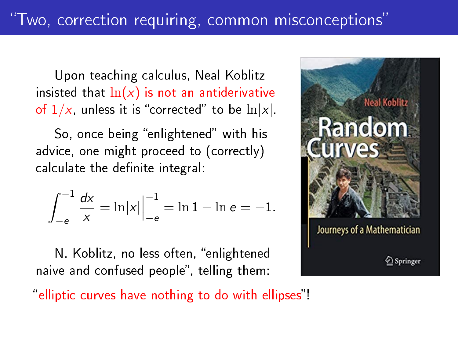Upon teaching calculus, Neal Koblitz insisted that  $\ln(x)$  is not an antiderivative of  $1/x$ , unless it is "corrected" to be  $ln|x|$ .

So, once being "enlightened" with his advice, one might proceed to (correctly) calculate the definite integral:

$$
\int_{-e}^{-1} \frac{dx}{x} = \ln|x| \Big|_{-e}^{-1} = \ln 1 - \ln e = -1.
$$

N. Koblitz, no less often, "enlightened naive and confused people", telling them:

"elliptic curves have nothing to do with ellipses"!

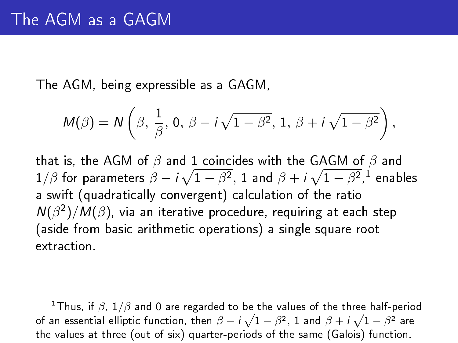The AGM, being expressible as a GAGM,

$$
M(\beta) = N\left(\beta, \, \frac{1}{\beta}, \, 0, \, \beta - i\sqrt{1-\beta^2}, \, 1, \, \beta + i\sqrt{1-\beta^2}\right),
$$

that is, the AGM of  $\beta$  and 1 coincides with the GAGM of  $\beta$  and  $1/\beta$  for parameters  $\beta-i\,\sqrt{1-\beta^2},\,1$  and  $\beta+i\,\sqrt{1-\beta^2},^1$  enables a swift (quadratically convergent) calculation of the ratio  $\mathcal{N}(\beta^2)/\mathcal{M}(\beta)$ , via an iterative procedure, requiring at each step (aside from basic arithmetic operations) a single square root extraction.

<sup>&</sup>lt;sup>1</sup>Thus, if  $\beta$ , 1/ $\beta$  and 0 are regarded to be the values of the three half-period of an essential elliptic function, then  $\beta-i\,\sqrt{1-\beta^2},\,1$  and  $\beta+i\,\sqrt{1-\beta^2}$  are the values at three (out of six) quarter-periods of the same (Galois) function.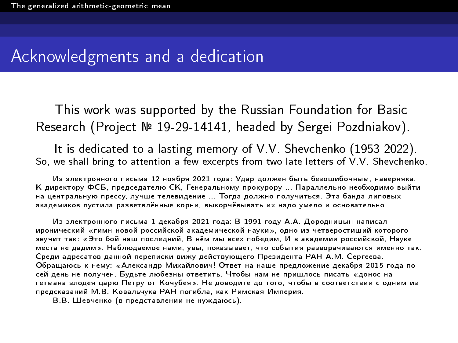### Acknowledgments and a dedication

This work was supported by the Russian Foundation for Basic Research (Project № 19-29-14141, headed by Sergei Pozdniakov).

It is dedicated to a lasting memory of V.V. Shevchenko (1953-2022). So, we shall bring to attention a few excerpts from two late letters of V.V. Shevchenko.

Из электронного письма 12 ноября 2021 года: Удар должен быть безошибочным, наверняка. К директору ФСБ, председателю СК, Генеральному прокурору ... Параллельно необходимо выйти на центральную прессу, лучше телевиление ... Тогла должно получиться. Эта банла диповых академиков пустила разветвлённые корни, выкорчёвывать их надо умело и основательно.

Из электронного письма 1 декабря 2021 года: В 1991 году А.А. Дородницын написал иронический «гимн новой российской академической науки», одно из четверостиший которого звучит так: «Это бой наш последний. В нём мы всех победим. И в академии российской. Науке места не дадим». Наблюдаемое нами, увы, показывает, что события разворачиваются именно так. Среди адресатов данной переписки вижу действующего Президента РАН А.М. Сергеева. Обращаюсь к нему: «Александр Михайлович! Ответ на наше предложение декабря 2015 года по сей день не получен. Будьте любезны ответить. Чтобы нам не пришлось писать «донос на гетмана злодея царю Петру от Кочубея». Не доводите до того, чтобы в соответствии с одним из предсказаний М.В. Ковальчука РАН погибла, как Римская Империя.

В.В. Шевченко (в представлении не нуждаюсь).